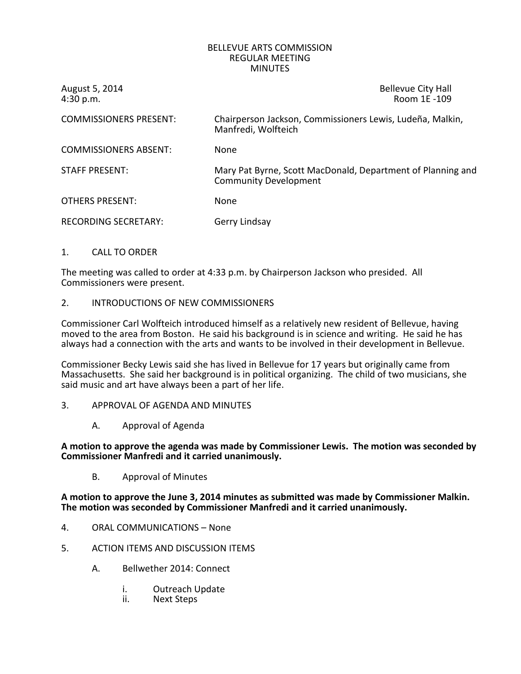## BELLEVUE ARTS COMMISSION REGULAR MEETING **MINUTES**

August 5, 2014 <br>4:30 p.m. Sand Control of Control of the Bellevue City Hall Room 1E -109 Room 1E -109

| <b>COMMISSIONERS PRESENT:</b> | Chairperson Jackson, Commissioners Lewis, Ludeña, Malkin,<br>Manfredi, Wolfteich            |
|-------------------------------|---------------------------------------------------------------------------------------------|
| <b>COMMISSIONERS ABSENT:</b>  | <b>None</b>                                                                                 |
| <b>STAFF PRESENT:</b>         | Mary Pat Byrne, Scott MacDonald, Department of Planning and<br><b>Community Development</b> |
| <b>OTHERS PRESENT:</b>        | None                                                                                        |
| RECORDING SECRETARY:          | Gerry Lindsay                                                                               |

1. CALL TO ORDER

The meeting was called to order at 4:33 p.m. by Chairperson Jackson who presided. All Commissioners were present.

2. INTRODUCTIONS OF NEW COMMISSIONERS

Commissioner Carl Wolfteich introduced himself as a relatively new resident of Bellevue, having moved to the area from Boston. He said his background is in science and writing. He said he has always had a connection with the arts and wants to be involved in their development in Bellevue.

Commissioner Becky Lewis said she has lived in Bellevue for 17 years but originally came from Massachusetts. She said her background is in political organizing. The child of two musicians, she said music and art have always been a part of her life.

- 3. APPROVAL OF AGENDA AND MINUTES
	- A. Approval of Agenda

**A motion to approve the agenda was made by Commissioner Lewis. The motion was seconded by Commissioner Manfredi and it carried unanimously.**

B. Approval of Minutes

**A motion to approve the June 3, 2014 minutes as submitted was made by Commissioner Malkin. The motion was seconded by Commissioner Manfredi and it carried unanimously.**

- 4. ORAL COMMUNICATIONS None
- 5. ACTION ITEMS AND DISCUSSION ITEMS
	- A. Bellwether 2014: Connect
		- i. Outreach Update
		- ii. Next Steps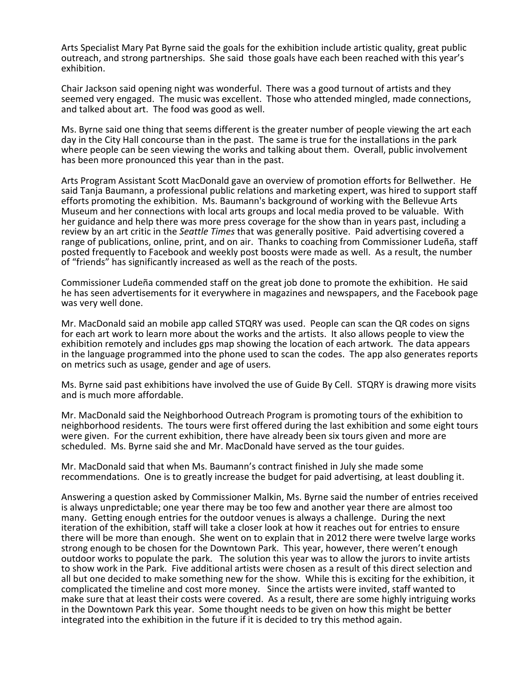Arts Specialist Mary Pat Byrne said the goals for the exhibition include artistic quality, great public outreach, and strong partnerships. She said those goals have each been reached with this year's exhibition.

Chair Jackson said opening night was wonderful. There was a good turnout of artists and they seemed very engaged. The music was excellent. Those who attended mingled, made connections, and talked about art. The food was good as well.

Ms. Byrne said one thing that seems different is the greater number of people viewing the art each day in the City Hall concourse than in the past. The same is true for the installations in the park where people can be seen viewing the works and talking about them. Overall, public involvement has been more pronounced this year than in the past.

Arts Program Assistant Scott MacDonald gave an overview of promotion efforts for Bellwether. He said Tanja Baumann, a professional public relations and marketing expert, was hired to support staff efforts promoting the exhibition. Ms. Baumann's background of working with the Bellevue Arts Museum and her connections with local arts groups and local media proved to be valuable. With her guidance and help there was more press coverage for the show than in years past, including a review by an art critic in the *Seattle Times* that was generally positive. Paid advertising covered a range of publications, online, print, and on air. Thanks to coaching from Commissioner Ludeña, staff posted frequently to Facebook and weekly post boosts were made as well. As a result, the number of "friends" has significantly increased as well as the reach of the posts.

Commissioner Ludeña commended staff on the great job done to promote the exhibition. He said he has seen advertisements for it everywhere in magazines and newspapers, and the Facebook page was very well done.

Mr. MacDonald said an mobile app called STQRY was used. People can scan the QR codes on signs for each art work to learn more about the works and the artists. It also allows people to view the exhibition remotely and includes gps map showing the location of each artwork. The data appears in the language programmed into the phone used to scan the codes. The app also generates reports on metrics such as usage, gender and age of users.

Ms. Byrne said past exhibitions have involved the use of Guide By Cell. STQRY is drawing more visits and is much more affordable.

Mr. MacDonald said the Neighborhood Outreach Program is promoting tours of the exhibition to neighborhood residents. The tours were first offered during the last exhibition and some eight tours were given. For the current exhibition, there have already been six tours given and more are scheduled. Ms. Byrne said she and Mr. MacDonald have served as the tour guides.

Mr. MacDonald said that when Ms. Baumann's contract finished in July she made some recommendations. One is to greatly increase the budget for paid advertising, at least doubling it.

Answering a question asked by Commissioner Malkin, Ms. Byrne said the number of entries received is always unpredictable; one year there may be too few and another year there are almost too many. Getting enough entries for the outdoor venues is always a challenge. During the next iteration of the exhibition, staff will take a closer look at how it reaches out for entries to ensure there will be more than enough. She went on to explain that in 2012 there were twelve large works strong enough to be chosen for the Downtown Park. This year, however, there weren't enough outdoor works to populate the park. The solution this year was to allow the jurors to invite artists to show work in the Park. Five additional artists were chosen as a result of this direct selection and all but one decided to make something new for the show. While this is exciting for the exhibition, it complicated the timeline and cost more money. Since the artists were invited, staff wanted to make sure that at least their costs were covered. As a result, there are some highly intriguing works in the Downtown Park this year. Some thought needs to be given on how this might be better integrated into the exhibition in the future if it is decided to try this method again.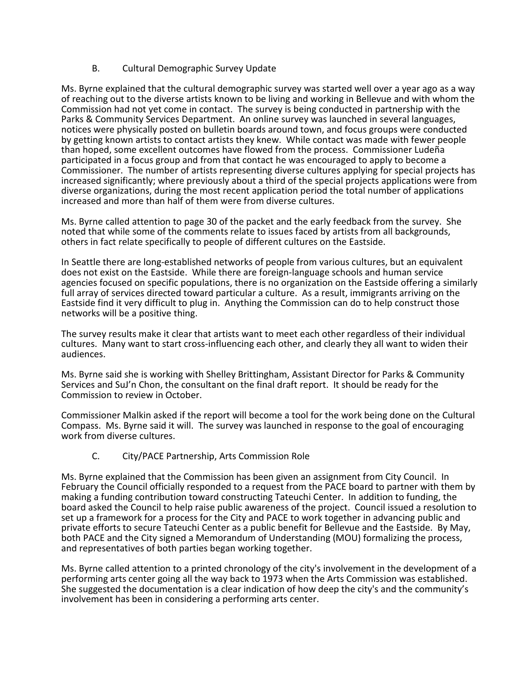## B. Cultural Demographic Survey Update

Ms. Byrne explained that the cultural demographic survey was started well over a year ago as a way of reaching out to the diverse artists known to be living and working in Bellevue and with whom the Commission had not yet come in contact. The survey is being conducted in partnership with the Parks & Community Services Department. An online survey was launched in several languages, notices were physically posted on bulletin boards around town, and focus groups were conducted by getting known artists to contact artists they knew. While contact was made with fewer people than hoped, some excellent outcomes have flowed from the process. Commissioner Ludeña participated in a focus group and from that contact he was encouraged to apply to become a Commissioner. The number of artists representing diverse cultures applying for special projects has increased significantly; where previously about a third of the special projects applications were from diverse organizations, during the most recent application period the total number of applications increased and more than half of them were from diverse cultures.

Ms. Byrne called attention to page 30 of the packet and the early feedback from the survey. She noted that while some of the comments relate to issues faced by artists from all backgrounds, others in fact relate specifically to people of different cultures on the Eastside.

In Seattle there are long-established networks of people from various cultures, but an equivalent does not exist on the Eastside. While there are foreign-language schools and human service agencies focused on specific populations, there is no organization on the Eastside offering a similarly full array of services directed toward particular a culture. As a result, immigrants arriving on the Eastside find it very difficult to plug in. Anything the Commission can do to help construct those networks will be a positive thing.

The survey results make it clear that artists want to meet each other regardless of their individual cultures. Many want to start cross-influencing each other, and clearly they all want to widen their audiences.

Ms. Byrne said she is working with Shelley Brittingham, Assistant Director for Parks & Community Services and SuJ'n Chon, the consultant on the final draft report. It should be ready for the Commission to review in October.

Commissioner Malkin asked if the report will become a tool for the work being done on the Cultural Compass. Ms. Byrne said it will. The survey was launched in response to the goal of encouraging work from diverse cultures.

## C. City/PACE Partnership, Arts Commission Role

Ms. Byrne explained that the Commission has been given an assignment from City Council. In February the Council officially responded to a request from the PACE board to partner with them by making a funding contribution toward constructing Tateuchi Center. In addition to funding, the board asked the Council to help raise public awareness of the project. Council issued a resolution to set up a framework for a process for the City and PACE to work together in advancing public and private efforts to secure Tateuchi Center as a public benefit for Bellevue and the Eastside. By May, both PACE and the City signed a Memorandum of Understanding (MOU) formalizing the process, and representatives of both parties began working together.

Ms. Byrne called attention to a printed chronology of the city's involvement in the development of a performing arts center going all the way back to 1973 when the Arts Commission was established. She suggested the documentation is a clear indication of how deep the city's and the community's involvement has been in considering a performing arts center.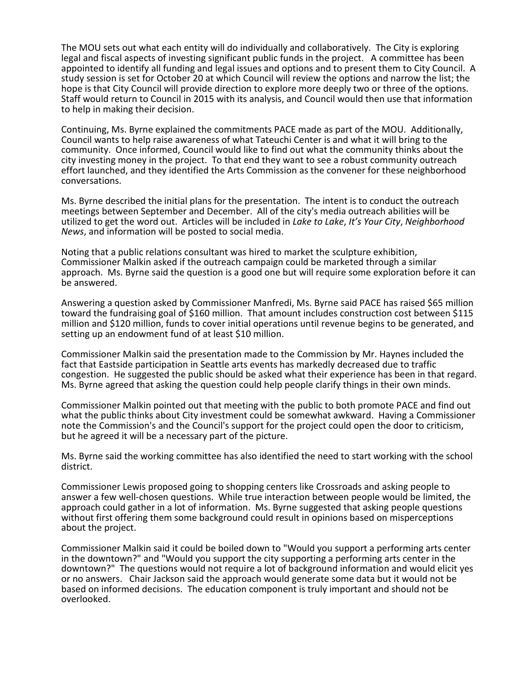The MOU sets out what each entity will do individually and collaboratively. The City is exploring legal and fiscal aspects of investing significant public funds in the project. A committee has been appointed to identify all funding and legal issues and options and to present them to City Council. A study session is set for October 20 at which Council will review the options and narrow the list; the hope is that City Council will provide direction to explore more deeply two or three of the options. Staff would return to Council in 2015 with its analysis, and Council would then use that information to help in making their decision.

Continuing, Ms. Byrne explained the commitments PACE made as part of the MOU. Additionally, Council wants to help raise awareness of what Tateuchi Center is and what it will bring to the community. Once informed, Council would like to find out what the community thinks about the city investing money in the project. To that end they want to see a robust community outreach effort launched, and they identified the Arts Commission as the convener for these neighborhood conversations.

Ms. Byrne described the initial plans for the presentation. The intent is to conduct the outreach meetings between September and December. All of the city's media outreach abilities will be utilized to get the word out. Articles will be included in *Lake to Lake*, *It's Your City*, *Neighborhood News*, and information will be posted to social media.

Noting that a public relations consultant was hired to market the sculpture exhibition, Commissioner Malkin asked if the outreach campaign could be marketed through a similar approach. Ms. Byrne said the question is a good one but will require some exploration before it can be answered.

Answering a question asked by Commissioner Manfredi, Ms. Byrne said PACE has raised \$65 million toward the fundraising goal of \$160 million. That amount includes construction cost between \$115 million and \$120 million, funds to cover initial operations until revenue begins to be generated, and setting up an endowment fund of at least \$10 million.

Commissioner Malkin said the presentation made to the Commission by Mr. Haynes included the fact that Eastside participation in Seattle arts events has markedly decreased due to traffic congestion. He suggested the public should be asked what their experience has been in that regard. Ms. Byrne agreed that asking the question could help people clarify things in their own minds.

Commissioner Malkin pointed out that meeting with the public to both promote PACE and find out what the public thinks about City investment could be somewhat awkward. Having a Commissioner note the Commission's and the Council's support for the project could open the door to criticism, but he agreed it will be a necessary part of the picture.

Ms. Byrne said the working committee has also identified the need to start working with the school district.

Commissioner Lewis proposed going to shopping centers like Crossroads and asking people to answer a few well-chosen questions. While true interaction between people would be limited, the approach could gather in a lot of information. Ms. Byrne suggested that asking people questions without first offering them some background could result in opinions based on misperceptions about the project.

Commissioner Malkin said it could be boiled down to "Would you support a performing arts center in the downtown?" and "Would you support the city supporting a performing arts center in the downtown?" The questions would not require a lot of background information and would elicit yes or no answers. Chair Jackson said the approach would generate some data but it would not be based on informed decisions. The education component is truly important and should not be overlooked.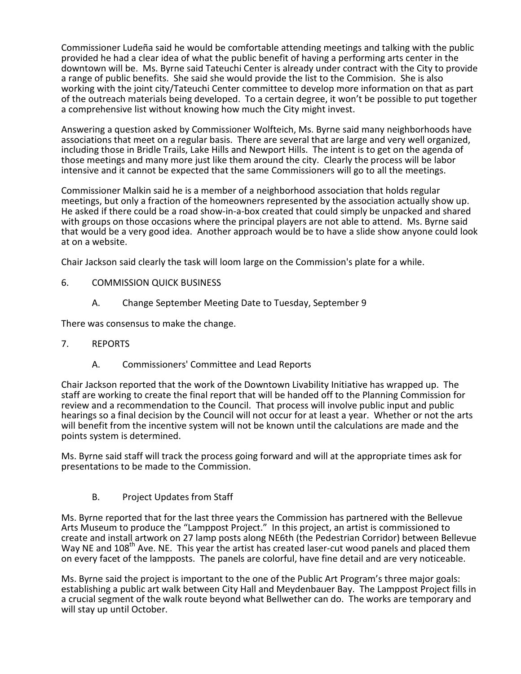Commissioner Ludeña said he would be comfortable attending meetings and talking with the public provided he had a clear idea of what the public benefit of having a performing arts center in the downtown will be. Ms. Byrne said Tateuchi Center is already under contract with the City to provide a range of public benefits. She said she would provide the list to the Commision. She is also working with the joint city/Tateuchi Center committee to develop more information on that as part of the outreach materials being developed. To a certain degree, it won't be possible to put together a comprehensive list without knowing how much the City might invest.

Answering a question asked by Commissioner Wolfteich, Ms. Byrne said many neighborhoods have associations that meet on a regular basis. There are several that are large and very well organized, including those in Bridle Trails, Lake Hills and Newport Hills. The intent is to get on the agenda of those meetings and many more just like them around the city. Clearly the process will be labor intensive and it cannot be expected that the same Commissioners will go to all the meetings.

Commissioner Malkin said he is a member of a neighborhood association that holds regular meetings, but only a fraction of the homeowners represented by the association actually show up. He asked if there could be a road show-in-a-box created that could simply be unpacked and shared with groups on those occasions where the principal players are not able to attend. Ms. Byrne said that would be a very good idea. Another approach would be to have a slide show anyone could look at on a website.

Chair Jackson said clearly the task will loom large on the Commission's plate for a while.

- 6. COMMISSION QUICK BUSINESS
	- A. Change September Meeting Date to Tuesday, September 9

There was consensus to make the change.

- 7. REPORTS
	- A. Commissioners' Committee and Lead Reports

Chair Jackson reported that the work of the Downtown Livability Initiative has wrapped up. The staff are working to create the final report that will be handed off to the Planning Commission for review and a recommendation to the Council. That process will involve public input and public hearings so a final decision by the Council will not occur for at least a year. Whether or not the arts will benefit from the incentive system will not be known until the calculations are made and the points system is determined.

Ms. Byrne said staff will track the process going forward and will at the appropriate times ask for presentations to be made to the Commission.

B. Project Updates from Staff

Ms. Byrne reported that for the last three years the Commission has partnered with the Bellevue Arts Museum to produce the "Lamppost Project." In this project, an artist is commissioned to create and install artwork on 27 lamp posts along NE6th (the Pedestrian Corridor) between Bellevue Way NE and 108<sup>th</sup> Ave. NE. This year the artist has created laser-cut wood panels and placed them on every facet of the lampposts. The panels are colorful, have fine detail and are very noticeable.

Ms. Byrne said the project is important to the one of the Public Art Program's three major goals: establishing a public art walk between City Hall and Meydenbauer Bay. The Lamppost Project fills in a crucial segment of the walk route beyond what Bellwether can do. The works are temporary and will stay up until October.